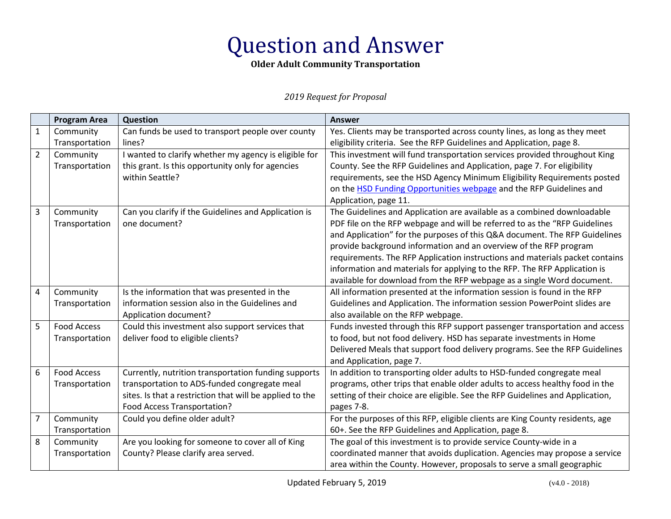### **Older Adult Community Transportation**

|                         | <b>Program Area</b> | Question                                                 | <b>Answer</b>                                                                 |
|-------------------------|---------------------|----------------------------------------------------------|-------------------------------------------------------------------------------|
| $\mathbf{1}$            | Community           | Can funds be used to transport people over county        | Yes. Clients may be transported across county lines, as long as they meet     |
|                         | Transportation      | lines?                                                   | eligibility criteria. See the RFP Guidelines and Application, page 8.         |
| $\overline{2}$          | Community           | I wanted to clarify whether my agency is eligible for    | This investment will fund transportation services provided throughout King    |
|                         | Transportation      | this grant. Is this opportunity only for agencies        | County. See the RFP Guidelines and Application, page 7. For eligibility       |
|                         |                     | within Seattle?                                          | requirements, see the HSD Agency Minimum Eligibility Requirements posted      |
|                         |                     |                                                          | on the HSD Funding Opportunities webpage and the RFP Guidelines and           |
|                         |                     |                                                          | Application, page 11.                                                         |
| $\overline{3}$          | Community           | Can you clarify if the Guidelines and Application is     | The Guidelines and Application are available as a combined downloadable       |
|                         | Transportation      | one document?                                            | PDF file on the RFP webpage and will be referred to as the "RFP Guidelines    |
|                         |                     |                                                          | and Application" for the purposes of this Q&A document. The RFP Guidelines    |
|                         |                     |                                                          | provide background information and an overview of the RFP program             |
|                         |                     |                                                          | requirements. The RFP Application instructions and materials packet contains  |
|                         |                     |                                                          | information and materials for applying to the RFP. The RFP Application is     |
|                         |                     |                                                          | available for download from the RFP webpage as a single Word document.        |
| $\overline{\mathbf{4}}$ | Community           | Is the information that was presented in the             | All information presented at the information session is found in the RFP      |
|                         | Transportation      | information session also in the Guidelines and           | Guidelines and Application. The information session PowerPoint slides are     |
|                         |                     | Application document?                                    | also available on the RFP webpage.                                            |
| 5                       | <b>Food Access</b>  | Could this investment also support services that         | Funds invested through this RFP support passenger transportation and access   |
|                         | Transportation      | deliver food to eligible clients?                        | to food, but not food delivery. HSD has separate investments in Home          |
|                         |                     |                                                          | Delivered Meals that support food delivery programs. See the RFP Guidelines   |
|                         |                     |                                                          | and Application, page 7.                                                      |
| 6                       | <b>Food Access</b>  | Currently, nutrition transportation funding supports     | In addition to transporting older adults to HSD-funded congregate meal        |
|                         | Transportation      | transportation to ADS-funded congregate meal             | programs, other trips that enable older adults to access healthy food in the  |
|                         |                     | sites. Is that a restriction that will be applied to the | setting of their choice are eligible. See the RFP Guidelines and Application, |
|                         |                     | Food Access Transportation?                              | pages 7-8.                                                                    |
| $\overline{7}$          | Community           | Could you define older adult?                            | For the purposes of this RFP, eligible clients are King County residents, age |
|                         | Transportation      |                                                          | 60+. See the RFP Guidelines and Application, page 8.                          |
| 8                       | Community           | Are you looking for someone to cover all of King         | The goal of this investment is to provide service County-wide in a            |
|                         | Transportation      | County? Please clarify area served.                      | coordinated manner that avoids duplication. Agencies may propose a service    |
|                         |                     |                                                          | area within the County. However, proposals to serve a small geographic        |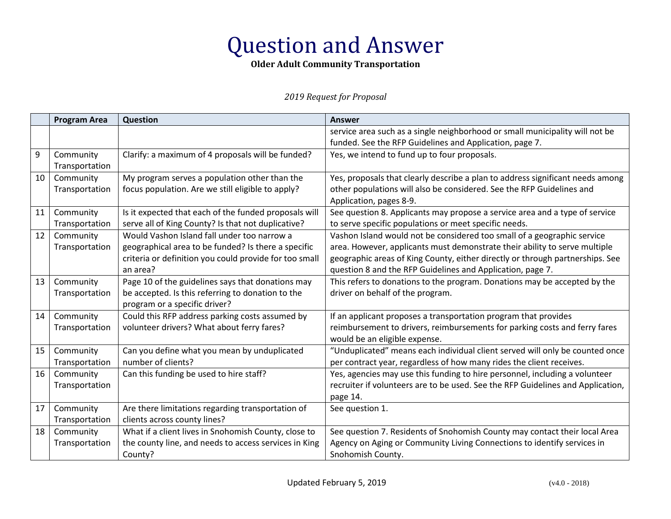### **Older Adult Community Transportation**

|    | <b>Program Area</b> | Question                                               | <b>Answer</b>                                                                   |
|----|---------------------|--------------------------------------------------------|---------------------------------------------------------------------------------|
|    |                     |                                                        | service area such as a single neighborhood or small municipality will not be    |
|    |                     |                                                        | funded. See the RFP Guidelines and Application, page 7.                         |
| 9  | Community           | Clarify: a maximum of 4 proposals will be funded?      | Yes, we intend to fund up to four proposals.                                    |
|    | Transportation      |                                                        |                                                                                 |
| 10 | Community           | My program serves a population other than the          | Yes, proposals that clearly describe a plan to address significant needs among  |
|    | Transportation      | focus population. Are we still eligible to apply?      | other populations will also be considered. See the RFP Guidelines and           |
|    |                     |                                                        | Application, pages 8-9.                                                         |
| 11 | Community           | Is it expected that each of the funded proposals will  | See question 8. Applicants may propose a service area and a type of service     |
|    | Transportation      | serve all of King County? Is that not duplicative?     | to serve specific populations or meet specific needs.                           |
| 12 | Community           | Would Vashon Island fall under too narrow a            | Vashon Island would not be considered too small of a geographic service         |
|    | Transportation      | geographical area to be funded? Is there a specific    | area. However, applicants must demonstrate their ability to serve multiple      |
|    |                     | criteria or definition you could provide for too small | geographic areas of King County, either directly or through partnerships. See   |
|    |                     | an area?                                               | question 8 and the RFP Guidelines and Application, page 7.                      |
| 13 | Community           | Page 10 of the guidelines says that donations may      | This refers to donations to the program. Donations may be accepted by the       |
|    | Transportation      | be accepted. Is this referring to donation to the      | driver on behalf of the program.                                                |
|    |                     | program or a specific driver?                          |                                                                                 |
| 14 | Community           | Could this RFP address parking costs assumed by        | If an applicant proposes a transportation program that provides                 |
|    | Transportation      | volunteer drivers? What about ferry fares?             | reimbursement to drivers, reimbursements for parking costs and ferry fares      |
|    |                     |                                                        | would be an eligible expense.                                                   |
| 15 | Community           | Can you define what you mean by unduplicated           | "Unduplicated" means each individual client served will only be counted once    |
|    | Transportation      | number of clients?                                     | per contract year, regardless of how many rides the client receives.            |
| 16 | Community           | Can this funding be used to hire staff?                | Yes, agencies may use this funding to hire personnel, including a volunteer     |
|    | Transportation      |                                                        | recruiter if volunteers are to be used. See the RFP Guidelines and Application, |
|    |                     |                                                        | page 14.                                                                        |
| 17 | Community           | Are there limitations regarding transportation of      | See question 1.                                                                 |
|    | Transportation      | clients across county lines?                           |                                                                                 |
| 18 | Community           | What if a client lives in Snohomish County, close to   | See question 7. Residents of Snohomish County may contact their local Area      |
|    | Transportation      | the county line, and needs to access services in King  | Agency on Aging or Community Living Connections to identify services in         |
|    |                     | County?                                                | Snohomish County.                                                               |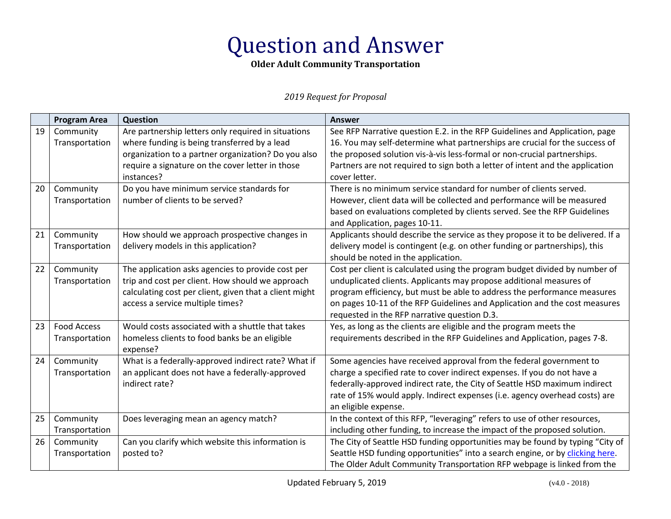### **Older Adult Community Transportation**

|    | <b>Program Area</b>         | Question                                               | <b>Answer</b>                                                                                                                                                 |
|----|-----------------------------|--------------------------------------------------------|---------------------------------------------------------------------------------------------------------------------------------------------------------------|
| 19 | Community                   | Are partnership letters only required in situations    | See RFP Narrative question E.2. in the RFP Guidelines and Application, page                                                                                   |
|    | Transportation              | where funding is being transferred by a lead           | 16. You may self-determine what partnerships are crucial for the success of                                                                                   |
|    |                             | organization to a partner organization? Do you also    | the proposed solution vis-à-vis less-formal or non-crucial partnerships.                                                                                      |
|    |                             | require a signature on the cover letter in those       | Partners are not required to sign both a letter of intent and the application                                                                                 |
|    |                             | instances?                                             | cover letter.                                                                                                                                                 |
| 20 | Community                   | Do you have minimum service standards for              | There is no minimum service standard for number of clients served.                                                                                            |
|    | Transportation              | number of clients to be served?                        | However, client data will be collected and performance will be measured                                                                                       |
|    |                             |                                                        | based on evaluations completed by clients served. See the RFP Guidelines                                                                                      |
| 21 |                             | How should we approach prospective changes in          | and Application, pages 10-11.                                                                                                                                 |
|    | Community<br>Transportation | delivery models in this application?                   | Applicants should describe the service as they propose it to be delivered. If a<br>delivery model is contingent (e.g. on other funding or partnerships), this |
|    |                             |                                                        | should be noted in the application.                                                                                                                           |
| 22 | Community                   | The application asks agencies to provide cost per      | Cost per client is calculated using the program budget divided by number of                                                                                   |
|    | Transportation              | trip and cost per client. How should we approach       | unduplicated clients. Applicants may propose additional measures of                                                                                           |
|    |                             | calculating cost per client, given that a client might | program efficiency, but must be able to address the performance measures                                                                                      |
|    |                             | access a service multiple times?                       | on pages 10-11 of the RFP Guidelines and Application and the cost measures                                                                                    |
|    |                             |                                                        | requested in the RFP narrative question D.3.                                                                                                                  |
| 23 | <b>Food Access</b>          | Would costs associated with a shuttle that takes       | Yes, as long as the clients are eligible and the program meets the                                                                                            |
|    | Transportation              | homeless clients to food banks be an eligible          | requirements described in the RFP Guidelines and Application, pages 7-8.                                                                                      |
|    |                             | expense?                                               |                                                                                                                                                               |
| 24 | Community                   | What is a federally-approved indirect rate? What if    | Some agencies have received approval from the federal government to                                                                                           |
|    | Transportation              | an applicant does not have a federally-approved        | charge a specified rate to cover indirect expenses. If you do not have a                                                                                      |
|    |                             | indirect rate?                                         | federally-approved indirect rate, the City of Seattle HSD maximum indirect                                                                                    |
|    |                             |                                                        | rate of 15% would apply. Indirect expenses (i.e. agency overhead costs) are                                                                                   |
|    |                             |                                                        | an eligible expense.                                                                                                                                          |
| 25 | Community                   | Does leveraging mean an agency match?                  | In the context of this RFP, "leveraging" refers to use of other resources,                                                                                    |
|    | Transportation              |                                                        | including other funding, to increase the impact of the proposed solution.                                                                                     |
| 26 | Community                   | Can you clarify which website this information is      | The City of Seattle HSD funding opportunities may be found by typing "City of                                                                                 |
|    | Transportation              | posted to?                                             | Seattle HSD funding opportunities" into a search engine, or by clicking here.                                                                                 |
|    |                             |                                                        | The Older Adult Community Transportation RFP webpage is linked from the                                                                                       |